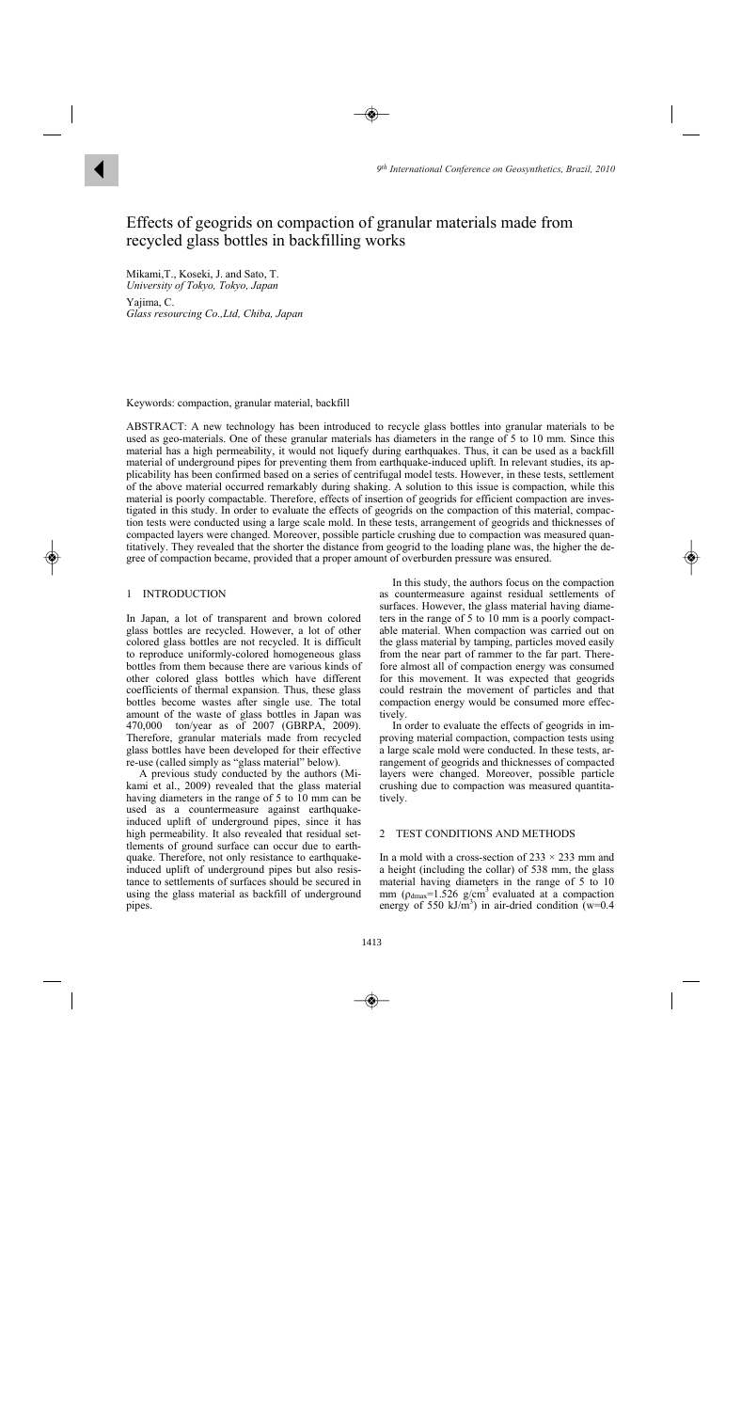# Effects of geogrids on compaction of granular materials made from recycled glass bottles in backfilling works

Mikami,T., Koseki, J. and Sato, T. *University of Tokyo, Tokyo, Japan*  Yajima, C. *Glass resourcing Co.,Ltd, Chiba, Japan* 

Keywords: compaction, granular material, backfill

ABSTRACT: A new technology has been introduced to recycle glass bottles into granular materials to be used as geo-materials. One of these granular materials has diameters in the range of 5 to 10 mm. Since this material has a high permeability, it would not liquefy during earthquakes. Thus, it can be used as a backfill material of underground pipes for preventing them from earthquake-induced uplift. In relevant studies, its applicability has been confirmed based on a series of centrifugal model tests. However, in these tests, settlement of the above material occurred remarkably during shaking. A solution to this issue is compaction, while this material is poorly compactable. Therefore, effects of insertion of geogrids for efficient compaction are investigated in this study. In order to evaluate the effects of geogrids on the compaction of this material, compaction tests were conducted using a large scale mold. In these tests, arrangement of geogrids and thicknesses of compacted layers were changed. Moreover, possible particle crushing due to compaction was measured quantitatively. They revealed that the shorter the distance from geogrid to the loading plane was, the higher the degree of compaction became, provided that a proper amount of overburden pressure was ensured.

### 1 INTRODUCTION

In Japan, a lot of transparent and brown colored glass bottles are recycled. However, a lot of other colored glass bottles are not recycled. It is difficult to reproduce uniformly-colored homogeneous glass bottles from them because there are various kinds of other colored glass bottles which have different coefficients of thermal expansion. Thus, these glass bottles become wastes after single use. The total amount of the waste of glass bottles in Japan was 470,000 ton/year as of 2007 (GBRPA, 2009). Therefore, granular materials made from recycled glass bottles have been developed for their effective re-use (called simply as "glass material" below).

A previous study conducted by the authors (Mikami et al., 2009) revealed that the glass material having diameters in the range of 5 to 10 mm can be used as a countermeasure against earthquakeinduced uplift of underground pipes, since it has high permeability. It also revealed that residual settlements of ground surface can occur due to earthquake. Therefore, not only resistance to earthquakeinduced uplift of underground pipes but also resistance to settlements of surfaces should be secured in using the glass material as backfill of underground pipes.

In this study, the authors focus on the compaction as countermeasure against residual settlements of surfaces. However, the glass material having diameters in the range of 5 to 10 mm is a poorly compactable material. When compaction was carried out on the glass material by tamping, particles moved easily from the near part of rammer to the far part. Therefore almost all of compaction energy was consumed for this movement. It was expected that geogrids could restrain the movement of particles and that compaction energy would be consumed more effectively.

In order to evaluate the effects of geogrids in improving material compaction, compaction tests using a large scale mold were conducted. In these tests, arrangement of geogrids and thicknesses of compacted layers were changed. Moreover, possible particle crushing due to compaction was measured quantitatively.

## 2 TEST CONDITIONS AND METHODS

In a mold with a cross-section of  $233 \times 233$  mm and a height (including the collar) of 538 mm, the glass material having diameters in the range of 5 to 10 mm ( $\rho_{dmax}$ =1.526 g/cm<sup>3</sup> evaluated at a compaction energy of 550 kJ/m<sup>3</sup>) in air-dried condition ( $w=0.4$ )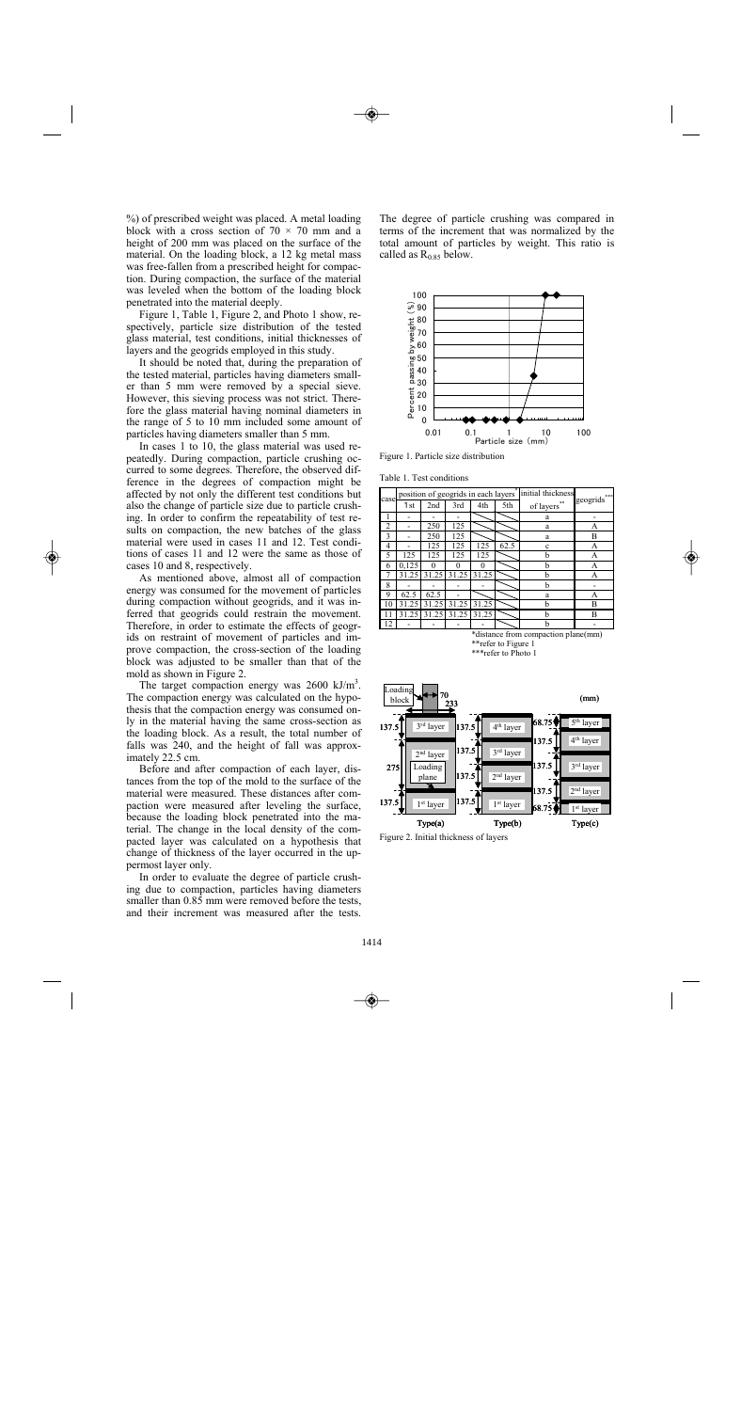%) of prescribed weight was placed. A metal loading block with a cross section of  $70 \times 70$  mm and a height of 200 mm was placed on the surface of the material. On the loading block, a 12 kg metal mass was free-fallen from a prescribed height for compaction. During compaction, the surface of the material was leveled when the bottom of the loading block penetrated into the material deeply.

Figure 1, Table 1, Figure 2, and Photo 1 show, respectively, particle size distribution of the tested glass material, test conditions, initial thicknesses of layers and the geogrids employed in this study.

It should be noted that, during the preparation of the tested material, particles having diameters smaller than 5 mm were removed by a special sieve. However, this sieving process was not strict. Therefore the glass material having nominal diameters in the range of 5 to 10 mm included some amount of particles having diameters smaller than 5 mm.

In cases 1 to 10, the glass material was used repeatedly. During compaction, particle crushing occurred to some degrees. Therefore, the observed difference in the degrees of compaction might be affected by not only the different test conditions but also the change of particle size due to particle crushing. In order to confirm the repeatability of test results on compaction, the new batches of the glass material were used in cases 11 and 12. Test conditions of cases 11 and 12 were the same as those of cases 10 and 8, respectively.

As mentioned above, almost all of compaction energy was consumed for the movement of particles during compaction without geogrids, and it was inferred that geogrids could restrain the movement. Therefore, in order to estimate the effects of geogrids on restraint of movement of particles and improve compaction, the cross-section of the loading block was adjusted to be smaller than that of the mold as shown in Figure 2.

The target compaction energy was  $2600 \text{ kJ/m}^3$ . The compaction energy was calculated on the hypothesis that the compaction energy was consumed only in the material having the same cross-section as the loading block. As a result, the total number of falls was 240, and the height of fall was approximately 22.5 cm.

Before and after compaction of each layer, distances from the top of the mold to the surface of the material were measured. These distances after compaction were measured after leveling the surface, because the loading block penetrated into the material. The change in the local density of the compacted layer was calculated on a hypothesis that change of thickness of the layer occurred in the uppermost layer only.

In order to evaluate the degree of particle crushing due to compaction, particles having diameters smaller than  $0.8\overline{5}$  mm were removed before the tests. and their increment was measured after the tests.

The degree of particle crushing was compared in terms of the increment that was normalized by the total amount of particles by weight. This ratio is called as  $R<sub>0.85</sub>$  below.



Figure 1. Particle size distribution

Table 1. Test conditions

| case |       |       |       | position of geogrids in each layers <sup>*</sup> initial thickness | geogrids*** |                                     |   |  |
|------|-------|-------|-------|--------------------------------------------------------------------|-------------|-------------------------------------|---|--|
|      | 1st   | 2nd   | 3rd   | 4th                                                                | 5th         | of layers                           |   |  |
|      |       |       |       |                                                                    |             | a                                   |   |  |
| 2    |       | 250   | 125   |                                                                    |             | a                                   | А |  |
|      |       | 250   | 125   |                                                                    |             | a                                   | B |  |
| 4    |       | 125   | 125   | 25                                                                 | 62.5        | Ċ                                   | А |  |
| 5    | 125   | 125   | 125   | 125                                                                |             | h                                   | А |  |
| 6    | 0.125 | 0     | 0     | 0                                                                  |             | b                                   | А |  |
|      | 31.25 | 31.25 | 31.25 | 31.25                                                              |             | h                                   | А |  |
| 8    |       |       |       |                                                                    |             | h                                   |   |  |
| 9    | 62.5  | 62.5  |       |                                                                    |             | a                                   | А |  |
| 10   | 31.25 | 31.25 | 31.25 | 31.25                                                              |             | h                                   | B |  |
| 11   | 31.25 | 31.25 | 31.25 | 31.25                                                              |             | h                                   | B |  |
| 12   |       |       |       |                                                                    |             | h                                   |   |  |
|      |       |       |       |                                                                    |             | *dictance from compaction plane(mm) |   |  |





Figure 2. Initial thickness of layers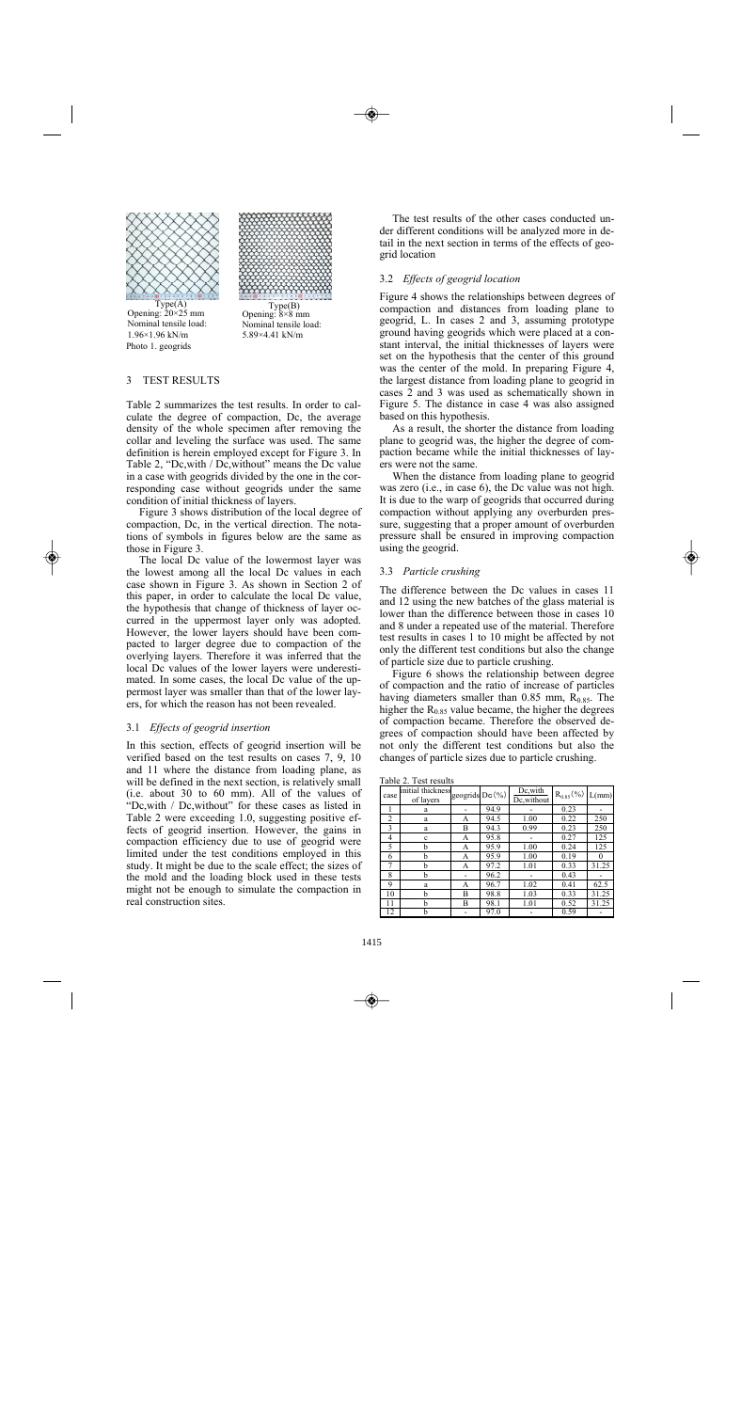



Photo 1. geogrids  $Type(A)$ <br>Opening: 20×25 mm Nominal tensile load: 1.96×1.96 kN/m

 $Type(B)$ <br>Opening:  $8\times 8$  mm Nominal tensile load: 5.89×4.41 kN/m

## 3 TEST RESULTS

Table 2 summarizes the test results. In order to calculate the degree of compaction, Dc, the average density of the whole specimen after removing the collar and leveling the surface was used. The same definition is herein employed except for Figure 3. In Table 2, "Dc,with / Dc,without" means the Dc value in a case with geogrids divided by the one in the corresponding case without geogrids under the same condition of initial thickness of layers.

Figure 3 shows distribution of the local degree of compaction, Dc, in the vertical direction. The notations of symbols in figures below are the same as those in Figure 3.

The local Dc value of the lowermost layer was the lowest among all the local Dc values in each case shown in Figure 3. As shown in Section 2 of this paper, in order to calculate the local Dc value, the hypothesis that change of thickness of layer occurred in the uppermost layer only was adopted. However, the lower layers should have been compacted to larger degree due to compaction of the overlying layers. Therefore it was inferred that the local Dc values of the lower layers were underestimated. In some cases, the local Dc value of the uppermost layer was smaller than that of the lower layers, for which the reason has not been revealed.

### 3.1 *Effects of geogrid insertion*

In this section, effects of geogrid insertion will be verified based on the test results on cases 7, 9, 10 and 11 where the distance from loading plane, as will be defined in the next section, is relatively small (i.e. about 30 to 60 mm). All of the values of "Dc,with / Dc,without" for these cases as listed in Table 2 were exceeding 1.0, suggesting positive effects of geogrid insertion. However, the gains in compaction efficiency due to use of geogrid were limited under the test conditions employed in this study. It might be due to the scale effect; the sizes of the mold and the loading block used in these tests might not be enough to simulate the compaction in real construction sites.

The test results of the other cases conducted under different conditions will be analyzed more in detail in the next section in terms of the effects of geogrid location

### 3.2 *Effects of geogrid location*

Figure 4 shows the relationships between degrees of compaction and distances from loading plane to geogrid, L. In cases 2 and 3, assuming prototype ground having geogrids which were placed at a constant interval, the initial thicknesses of layers were set on the hypothesis that the center of this ground was the center of the mold. In preparing Figure 4, the largest distance from loading plane to geogrid in cases 2 and 3 was used as schematically shown in Figure 5. The distance in case 4 was also assigned based on this hypothesis.

As a result, the shorter the distance from loading plane to geogrid was, the higher the degree of compaction became while the initial thicknesses of layers were not the same.

When the distance from loading plane to geogrid was zero (i.e., in case 6), the Dc value was not high. It is due to the warp of geogrids that occurred during compaction without applying any overburden pressure, suggesting that a proper amount of overburden pressure shall be ensured in improving compaction using the geogrid.

#### 3.3 *Particle crushing*

The difference between the Dc values in cases 11 and 12 using the new batches of the glass material is lower than the difference between those in cases 10 and 8 under a repeated use of the material. Therefore test results in cases 1 to 10 might be affected by not only the different test conditions but also the change of particle size due to particle crushing.

Figure 6 shows the relationship between degree of compaction and the ratio of increase of particles having diameters smaller than  $0.85$  mm,  $R<sub>0.85</sub>$ . The higher the  $R_{0.85}$  value became, the higher the degrees of compaction became. Therefore the observed degrees of compaction should have been affected by not only the different test conditions but also the changes of particle sizes due to particle crushing.

| Table 2. Test results |  |
|-----------------------|--|
|-----------------------|--|

| case           | initial thickness geogrids Dc(%)<br>of lavers |   |      | Dc, with<br>Dc, without | $R_{0.85}$ (%) | $L/mm$ ) |
|----------------|-----------------------------------------------|---|------|-------------------------|----------------|----------|
|                | a                                             |   | 94.9 |                         | 0.23           |          |
| $\overline{c}$ | a                                             | А | 94.5 | 1.00                    | 0.22           | 250      |
| 3              | a                                             | В | 94.3 | 0.99                    | 0.23           | 250      |
| 4              | c                                             | А | 95.8 |                         | 0.27           | 125      |
| 5              | h                                             | А | 95.9 | 1.00                    | 0.24           | 125      |
| 6              | h                                             | А | 95.9 | 1.00                    | 0.19           | 0        |
|                | h                                             | А | 97.2 | 1.01                    | 0.33           | 31.25    |
| 8              | b                                             |   | 96.2 |                         | 0.43           |          |
| 9              | a                                             | А | 96.7 | 1.02                    | 0.41           | 62.5     |
| 10             | h                                             | В | 98.8 | 1.03                    | 0.33           | 31.25    |
| 11             | h                                             | В | 98.1 | 1.01                    | 0.52           | 31.25    |
| 12             | h                                             |   | 97.0 |                         | 0.59           |          |